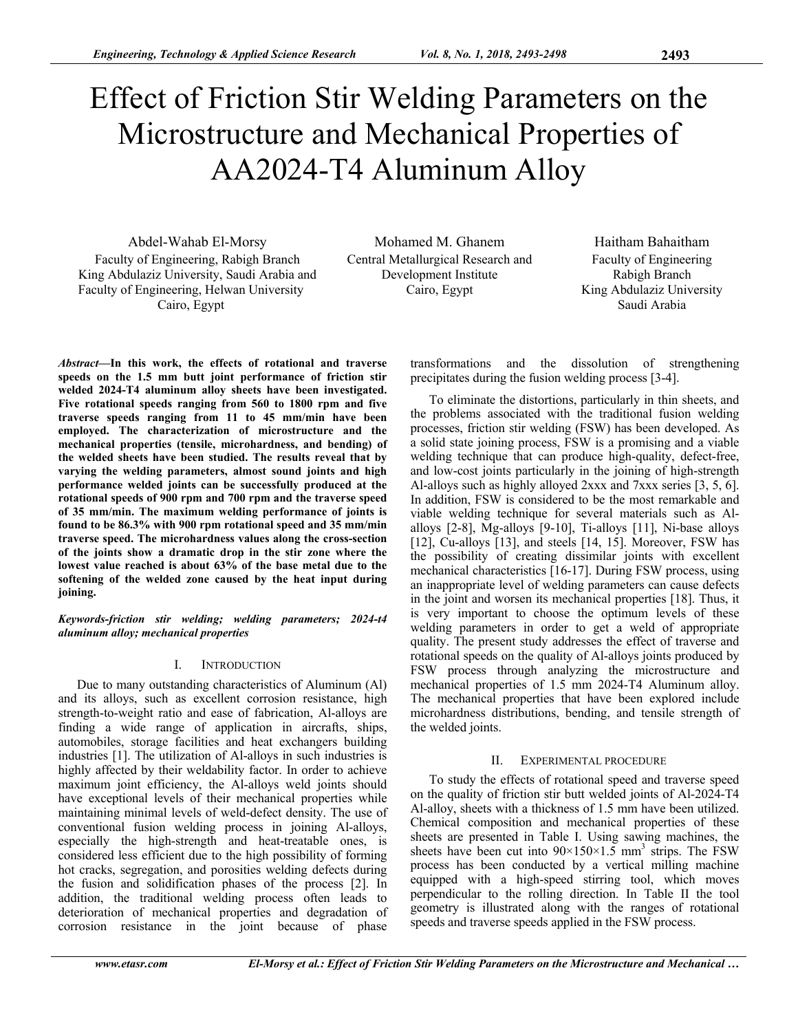# Effect of Friction Stir Welding Parameters on the Microstructure and Mechanical Properties of AA2024-T4 Aluminum Alloy

Abdel-Wahab El-Morsy Mohamed M. Ghanem Haitham Bahaitham Faculty of Engineering, Rabigh Branch King Abdulaziz University, Saudi Arabia and Faculty of Engineering, Helwan University Cairo, Egypt

Central Metallurgical Research and Development Institute Cairo, Egypt

Faculty of Engineering Rabigh Branch King Abdulaziz University Saudi Arabia

*Abstract***—In this work, the effects of rotational and traverse speeds on the 1.5 mm butt joint performance of friction stir welded 2024-T4 aluminum alloy sheets have been investigated. Five rotational speeds ranging from 560 to 1800 rpm and five traverse speeds ranging from 11 to 45 mm/min have been employed. The characterization of microstructure and the mechanical properties (tensile, microhardness, and bending) of the welded sheets have been studied. The results reveal that by varying the welding parameters, almost sound joints and high performance welded joints can be successfully produced at the rotational speeds of 900 rpm and 700 rpm and the traverse speed of 35 mm/min. The maximum welding performance of joints is found to be 86.3% with 900 rpm rotational speed and 35 mm/min traverse speed. The microhardness values along the cross-section of the joints show a dramatic drop in the stir zone where the lowest value reached is about 63% of the base metal due to the softening of the welded zone caused by the heat input during joining.** 

*Keywords-friction stir welding; welding parameters; 2024-t4 aluminum alloy; mechanical properties* 

# I. INTRODUCTION

Due to many outstanding characteristics of Aluminum (Al) and its alloys, such as excellent corrosion resistance, high strength-to-weight ratio and ease of fabrication, Al-alloys are finding a wide range of application in aircrafts, ships, automobiles, storage facilities and heat exchangers building industries [1]. The utilization of Al-alloys in such industries is highly affected by their weldability factor. In order to achieve maximum joint efficiency, the Al-alloys weld joints should have exceptional levels of their mechanical properties while maintaining minimal levels of weld-defect density. The use of conventional fusion welding process in joining Al-alloys, especially the high-strength and heat-treatable ones, is considered less efficient due to the high possibility of forming hot cracks, segregation, and porosities welding defects during the fusion and solidification phases of the process [2]. In addition, the traditional welding process often leads to deterioration of mechanical properties and degradation of corrosion resistance in the joint because of phase

transformations and the dissolution of strengthening precipitates during the fusion welding process [3-4].

To eliminate the distortions, particularly in thin sheets, and the problems associated with the traditional fusion welding processes, friction stir welding (FSW) has been developed. As a solid state joining process, FSW is a promising and a viable welding technique that can produce high-quality, defect-free, and low-cost joints particularly in the joining of high-strength Al-alloys such as highly alloyed 2xxx and 7xxx series [3, 5, 6]. In addition, FSW is considered to be the most remarkable and viable welding technique for several materials such as Alalloys [2-8], Mg-alloys [9-10], Ti-alloys [11], Ni-base alloys [12], Cu-alloys [13], and steels [14, 15]. Moreover, FSW has the possibility of creating dissimilar joints with excellent mechanical characteristics [16-17]. During FSW process, using an inappropriate level of welding parameters can cause defects in the joint and worsen its mechanical properties [18]. Thus, it is very important to choose the optimum levels of these welding parameters in order to get a weld of appropriate quality. The present study addresses the effect of traverse and rotational speeds on the quality of Al-alloys joints produced by FSW process through analyzing the microstructure and mechanical properties of 1.5 mm 2024-T4 Aluminum alloy. The mechanical properties that have been explored include microhardness distributions, bending, and tensile strength of the welded joints.

# II. EXPERIMENTAL PROCEDURE

To study the effects of rotational speed and traverse speed on the quality of friction stir butt welded joints of Al-2024-T4 Al-alloy, sheets with a thickness of 1.5 mm have been utilized. Chemical composition and mechanical properties of these sheets are presented in Table I. Using sawing machines, the sheets have been cut into  $90 \times 150 \times 1.5$  mm<sup>3</sup> strips. The FSW process has been conducted by a vertical milling machine equipped with a high-speed stirring tool, which moves perpendicular to the rolling direction. In Table II the tool geometry is illustrated along with the ranges of rotational speeds and traverse speeds applied in the FSW process.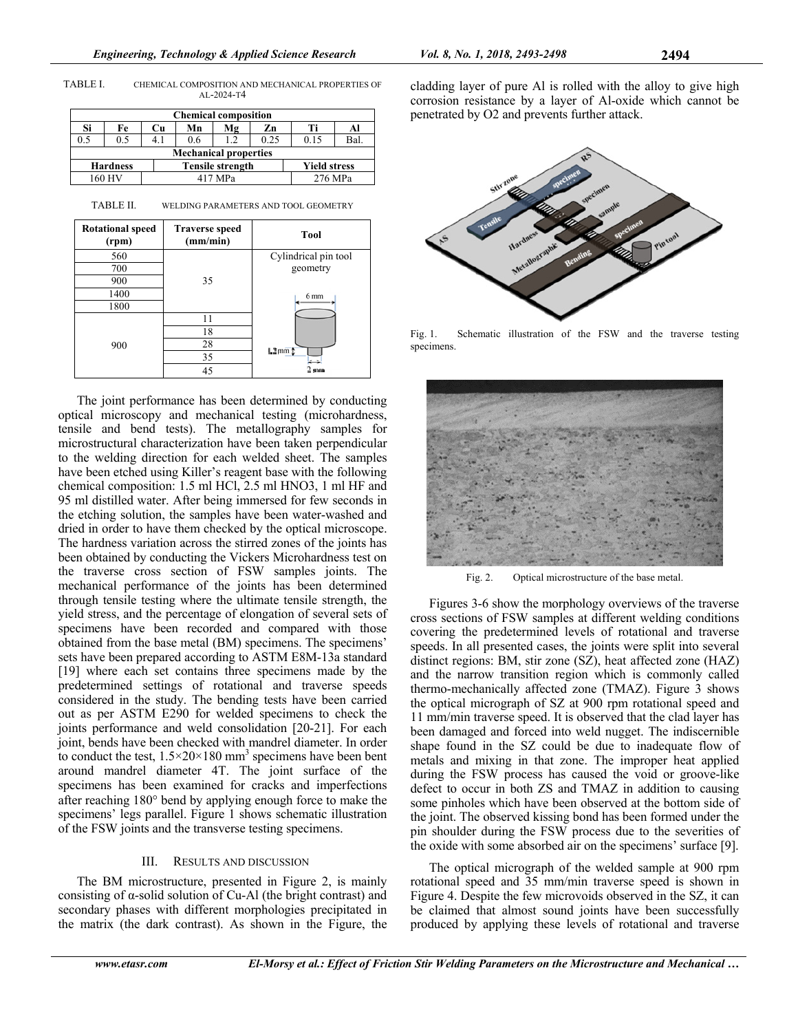TABLE I. CHEMICAL COMPOSITION AND MECHANICAL PROPERTIES OF AL-2024-T4

| <b>Chemical composition</b>  |                 |    |                         |     |      |                     |         |  |
|------------------------------|-----------------|----|-------------------------|-----|------|---------------------|---------|--|
| Si                           | Fe              | Cu | Mn                      | Mg  | Zn   | Тi                  | Al      |  |
| 0.5                          | 0.5             |    | 0.6                     | 1.2 | 0.25 | 0.15                | Bal.    |  |
| <b>Mechanical properties</b> |                 |    |                         |     |      |                     |         |  |
|                              | <b>Hardness</b> |    | <b>Tensile strength</b> |     |      | <b>Yield stress</b> |         |  |
| 160 HV                       |                 |    | 417 MPa                 |     |      |                     | 276 MPa |  |

TABLE II. WELDING PARAMETERS AND TOOL GEOMETRY



The joint performance has been determined by conducting optical microscopy and mechanical testing (microhardness, tensile and bend tests). The metallography samples for microstructural characterization have been taken perpendicular to the welding direction for each welded sheet. The samples have been etched using Killer's reagent base with the following chemical composition: 1.5 ml HCl, 2.5 ml HNO3, 1 ml HF and 95 ml distilled water. After being immersed for few seconds in the etching solution, the samples have been water-washed and dried in order to have them checked by the optical microscope. The hardness variation across the stirred zones of the joints has been obtained by conducting the Vickers Microhardness test on the traverse cross section of FSW samples joints. The mechanical performance of the joints has been determined through tensile testing where the ultimate tensile strength, the yield stress, and the percentage of elongation of several sets of specimens have been recorded and compared with those obtained from the base metal (BM) specimens. The specimens' sets have been prepared according to ASTM E8M-13a standard [19] where each set contains three specimens made by the predetermined settings of rotational and traverse speeds considered in the study. The bending tests have been carried out as per ASTM E290 for welded specimens to check the joints performance and weld consolidation [20-21]. For each joint, bends have been checked with mandrel diameter. In order to conduct the test,  $1.5 \times 20 \times 180$  mm<sup>3</sup> specimens have been bent around mandrel diameter 4T. The joint surface of the specimens has been examined for cracks and imperfections after reaching 180° bend by applying enough force to make the specimens' legs parallel. Figure 1 shows schematic illustration of the FSW joints and the transverse testing specimens.

#### III. RESULTS AND DISCUSSION

The BM microstructure, presented in Figure 2, is mainly consisting of α-solid solution of Cu-Al (the bright contrast) and secondary phases with different morphologies precipitated in the matrix (the dark contrast). As shown in the Figure, the cladding layer of pure Al is rolled with the alloy to give high corrosion resistance by a layer of Al-oxide which cannot be penetrated by O2 and prevents further attack.



Fig. 1. Schematic illustration of the FSW and the traverse testing specimens.



Fig. 2. Optical microstructure of the base metal.

Figures 3-6 show the morphology overviews of the traverse cross sections of FSW samples at different welding conditions covering the predetermined levels of rotational and traverse speeds. In all presented cases, the joints were split into several distinct regions: BM, stir zone (SZ), heat affected zone (HAZ) and the narrow transition region which is commonly called thermo-mechanically affected zone (TMAZ). Figure 3 shows the optical micrograph of SZ at 900 rpm rotational speed and 11 mm/min traverse speed. It is observed that the clad layer has been damaged and forced into weld nugget. The indiscernible shape found in the SZ could be due to inadequate flow of metals and mixing in that zone. The improper heat applied during the FSW process has caused the void or groove-like defect to occur in both ZS and TMAZ in addition to causing some pinholes which have been observed at the bottom side of the joint. The observed kissing bond has been formed under the pin shoulder during the FSW process due to the severities of the oxide with some absorbed air on the specimens' surface [9].

The optical micrograph of the welded sample at 900 rpm rotational speed and 35 mm/min traverse speed is shown in Figure 4. Despite the few microvoids observed in the SZ, it can be claimed that almost sound joints have been successfully produced by applying these levels of rotational and traverse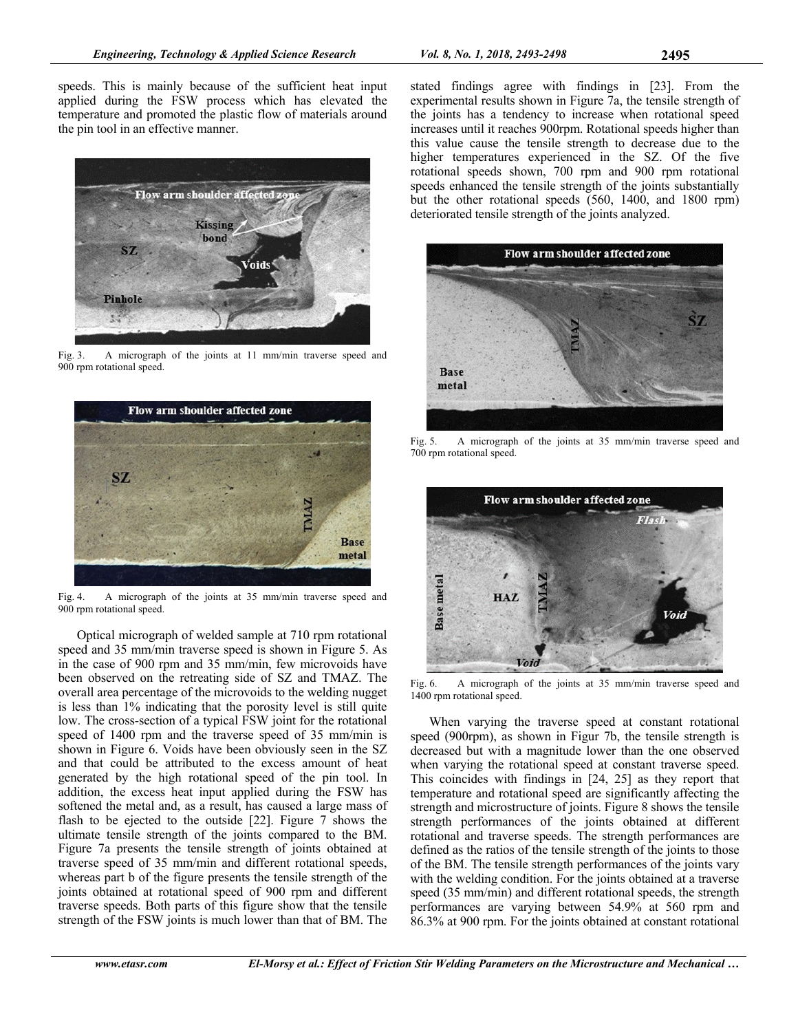speeds. This is mainly because of the sufficient heat input applied during the FSW process which has elevated the temperature and promoted the plastic flow of materials around the pin tool in an effective manner.



Fig. 3. A micrograph of the joints at 11 mm/min traverse speed and 900 rpm rotational speed.



Fig. 4. A micrograph of the joints at 35 mm/min traverse speed and 900 rpm rotational speed.

Optical micrograph of welded sample at 710 rpm rotational speed and 35 mm/min traverse speed is shown in Figure 5. As in the case of 900 rpm and 35 mm/min, few microvoids have been observed on the retreating side of SZ and TMAZ. The overall area percentage of the microvoids to the welding nugget is less than 1% indicating that the porosity level is still quite low. The cross-section of a typical FSW joint for the rotational speed of 1400 rpm and the traverse speed of 35 mm/min is shown in Figure 6. Voids have been obviously seen in the SZ and that could be attributed to the excess amount of heat generated by the high rotational speed of the pin tool. In addition, the excess heat input applied during the FSW has softened the metal and, as a result, has caused a large mass of flash to be ejected to the outside [22]. Figure 7 shows the ultimate tensile strength of the joints compared to the BM. Figure 7a presents the tensile strength of joints obtained at traverse speed of 35 mm/min and different rotational speeds, whereas part b of the figure presents the tensile strength of the joints obtained at rotational speed of 900 rpm and different traverse speeds. Both parts of this figure show that the tensile strength of the FSW joints is much lower than that of BM. The

stated findings agree with findings in [23]. From the experimental results shown in Figure 7a, the tensile strength of the joints has a tendency to increase when rotational speed increases until it reaches 900rpm. Rotational speeds higher than this value cause the tensile strength to decrease due to the higher temperatures experienced in the SZ. Of the five rotational speeds shown, 700 rpm and 900 rpm rotational speeds enhanced the tensile strength of the joints substantially but the other rotational speeds (560, 1400, and 1800 rpm) deteriorated tensile strength of the joints analyzed.



Fig. 5. A micrograph of the joints at 35 mm/min traverse speed and 700 rpm rotational speed.



Fig. 6. A micrograph of the joints at 35 mm/min traverse speed and 1400 rpm rotational speed.

When varying the traverse speed at constant rotational speed (900rpm), as shown in Figur 7b, the tensile strength is decreased but with a magnitude lower than the one observed when varying the rotational speed at constant traverse speed. This coincides with findings in [24, 25] as they report that temperature and rotational speed are significantly affecting the strength and microstructure of joints. Figure 8 shows the tensile strength performances of the joints obtained at different rotational and traverse speeds. The strength performances are defined as the ratios of the tensile strength of the joints to those of the BM. The tensile strength performances of the joints vary with the welding condition. For the joints obtained at a traverse speed (35 mm/min) and different rotational speeds, the strength performances are varying between 54.9% at 560 rpm and 86.3% at 900 rpm. For the joints obtained at constant rotational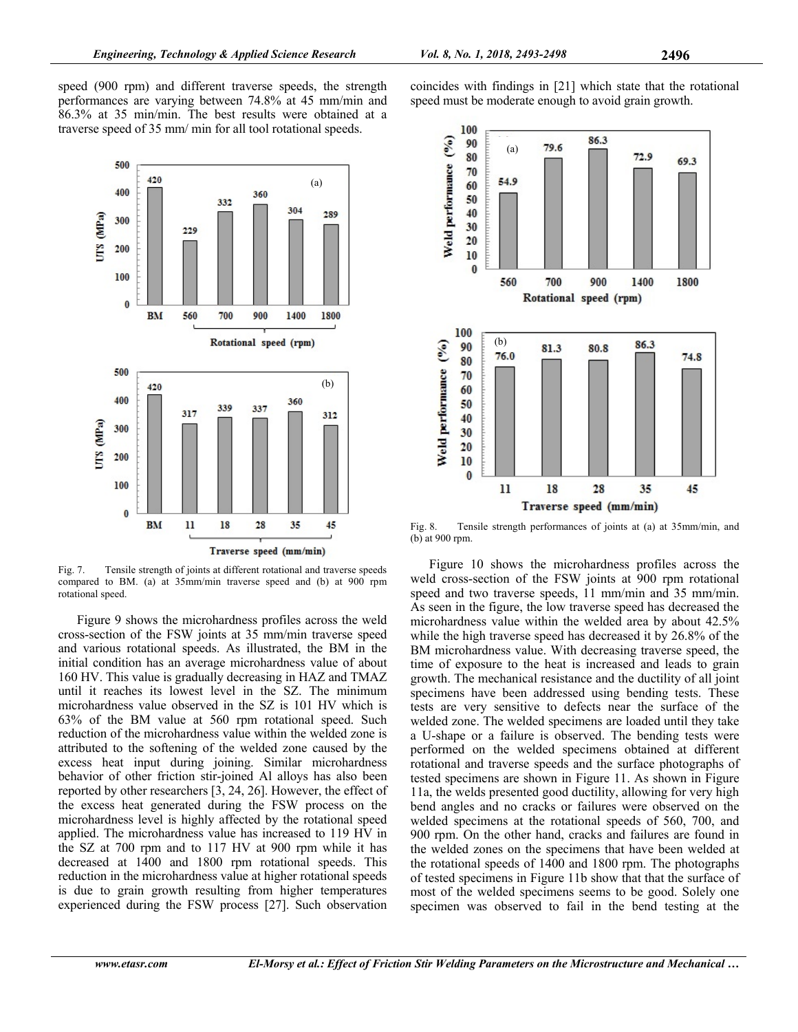speed (900 rpm) and different traverse speeds, the strength performances are varying between 74.8% at 45 mm/min and 86.3% at 35 min/min. The best results were obtained at a traverse speed of 35 mm/ min for all tool rotational speeds.



Fig. 7. Tensile strength of joints at different rotational and traverse speeds compared to BM. (a) at 35mm/min traverse speed and (b) at 900 rpm rotational speed.

Figure 9 shows the microhardness profiles across the weld cross-section of the FSW joints at 35 mm/min traverse speed and various rotational speeds. As illustrated, the BM in the initial condition has an average microhardness value of about 160 HV. This value is gradually decreasing in HAZ and TMAZ until it reaches its lowest level in the SZ. The minimum microhardness value observed in the SZ is 101 HV which is 63% of the BM value at 560 rpm rotational speed. Such reduction of the microhardness value within the welded zone is attributed to the softening of the welded zone caused by the excess heat input during joining. Similar microhardness behavior of other friction stir-joined Al alloys has also been reported by other researchers [3, 24, 26]. However, the effect of the excess heat generated during the FSW process on the microhardness level is highly affected by the rotational speed applied. The microhardness value has increased to 119 HV in the SZ at 700 rpm and to 117 HV at 900 rpm while it has decreased at 1400 and 1800 rpm rotational speeds. This reduction in the microhardness value at higher rotational speeds is due to grain growth resulting from higher temperatures experienced during the FSW process [27]. Such observation



coincides with findings in [21] which state that the rotational

speed must be moderate enough to avoid grain growth.

Fig. 8. Tensile strength performances of joints at (a) at 35mm/min, and (b) at 900 rpm.

Figure 10 shows the microhardness profiles across the weld cross-section of the FSW joints at 900 rpm rotational speed and two traverse speeds, 11 mm/min and 35 mm/min. As seen in the figure, the low traverse speed has decreased the microhardness value within the welded area by about 42.5% while the high traverse speed has decreased it by 26.8% of the BM microhardness value. With decreasing traverse speed, the time of exposure to the heat is increased and leads to grain growth. The mechanical resistance and the ductility of all joint specimens have been addressed using bending tests. These tests are very sensitive to defects near the surface of the welded zone. The welded specimens are loaded until they take a U-shape or a failure is observed. The bending tests were performed on the welded specimens obtained at different rotational and traverse speeds and the surface photographs of tested specimens are shown in Figure 11. As shown in Figure 11a, the welds presented good ductility, allowing for very high bend angles and no cracks or failures were observed on the welded specimens at the rotational speeds of 560, 700, and 900 rpm. On the other hand, cracks and failures are found in the welded zones on the specimens that have been welded at the rotational speeds of 1400 and 1800 rpm. The photographs of tested specimens in Figure 11b show that that the surface of most of the welded specimens seems to be good. Solely one specimen was observed to fail in the bend testing at the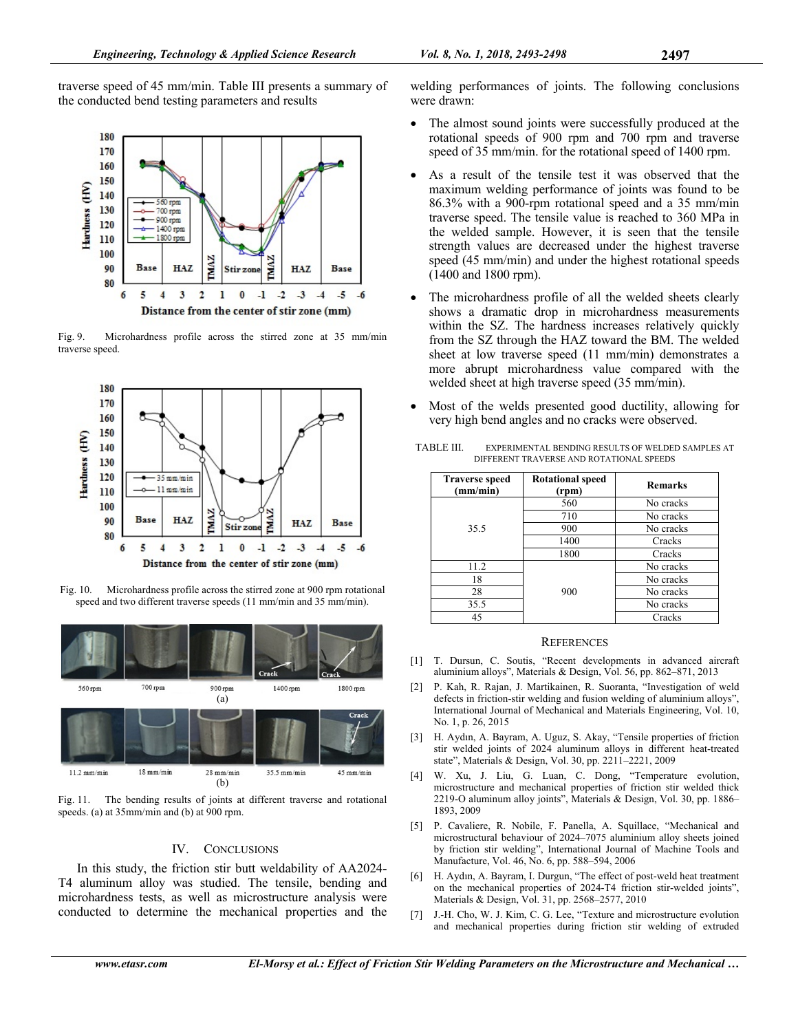traverse speed of 45 mm/min. Table III presents a summary of the conducted bend testing parameters and results



Fig. 9. Microhardness profile across the stirred zone at 35 mm/min traverse speed.



Fig. 10. Microhardness profile across the stirred zone at 900 rpm rotational speed and two different traverse speeds (11 mm/min and 35 mm/min).



Fig. 11. The bending results of joints at different traverse and rotational speeds. (a) at 35mm/min and (b) at 900 rpm.

## IV. CONCLUSIONS

In this study, the friction stir butt weldability of AA2024- T4 aluminum alloy was studied. The tensile, bending and microhardness tests, as well as microstructure analysis were conducted to determine the mechanical properties and the

- The almost sound joints were successfully produced at the rotational speeds of 900 rpm and 700 rpm and traverse speed of 35 mm/min. for the rotational speed of 1400 rpm.
- As a result of the tensile test it was observed that the maximum welding performance of joints was found to be 86.3% with a 900-rpm rotational speed and a 35 mm/min traverse speed. The tensile value is reached to 360 MPa in the welded sample. However, it is seen that the tensile strength values are decreased under the highest traverse speed (45 mm/min) and under the highest rotational speeds (1400 and 1800 rpm).
- The microhardness profile of all the welded sheets clearly shows a dramatic drop in microhardness measurements within the SZ. The hardness increases relatively quickly from the SZ through the HAZ toward the BM. The welded sheet at low traverse speed (11 mm/min) demonstrates a more abrupt microhardness value compared with the welded sheet at high traverse speed (35 mm/min).
- Most of the welds presented good ductility, allowing for very high bend angles and no cracks were observed.

| <b>Traverse speed</b><br>(mm/min) | <b>Rotational speed</b><br>(rpm) | <b>Remarks</b> |  |
|-----------------------------------|----------------------------------|----------------|--|
|                                   | 560                              | No cracks      |  |
|                                   | 710                              | No cracks      |  |
| 35.5                              | 900                              | No cracks      |  |
|                                   | 1400                             | Cracks         |  |
|                                   | 1800                             | Cracks         |  |
| 11.2                              |                                  | No cracks      |  |
| 18                                |                                  | No cracks      |  |
| 28                                | 900                              | No cracks      |  |
| 35.5                              |                                  | No cracks      |  |
| 45                                |                                  | Cracks         |  |

TABLE III. EXPERIMENTAL BENDING RESULTS OF WELDED SAMPLES AT DIFFERENT TRAVERSE AND ROTATIONAL SPEEDS

## **REFERENCES**

- [1] T. Dursun, C. Soutis, "Recent developments in advanced aircraft aluminium alloys", Materials & Design, Vol. 56, pp. 862–871, 2013
- [2] P. Kah, R. Rajan, J. Martikainen, R. Suoranta, "Investigation of weld defects in friction-stir welding and fusion welding of aluminium alloys", International Journal of Mechanical and Materials Engineering, Vol. 10, No. 1, p. 26, 2015
- [3] H. Aydın, A. Bayram, A. Uguz, S. Akay, "Tensile properties of friction stir welded joints of 2024 aluminum alloys in different heat-treated state", Materials & Design, Vol. 30, pp. 2211–2221, 2009
- [4] W. Xu, J. Liu, G. Luan, C. Dong, "Temperature evolution, microstructure and mechanical properties of friction stir welded thick 2219-O aluminum alloy joints", Materials & Design, Vol. 30, pp. 1886– 1893, 2009
- [5] P. Cavaliere, R. Nobile, F. Panella, A. Squillace, "Mechanical and microstructural behaviour of 2024–7075 aluminium alloy sheets joined by friction stir welding", International Journal of Machine Tools and Manufacture, Vol. 46, No. 6, pp. 588–594, 2006
- [6] H. Aydın, A. Bayram, I. Durgun, "The effect of post-weld heat treatment on the mechanical properties of 2024-T4 friction stir-welded joints", Materials & Design, Vol. 31, pp. 2568–2577, 2010
- [7] J.-H. Cho, W. J. Kim, C. G. Lee, "Texture and microstructure evolution and mechanical properties during friction stir welding of extruded